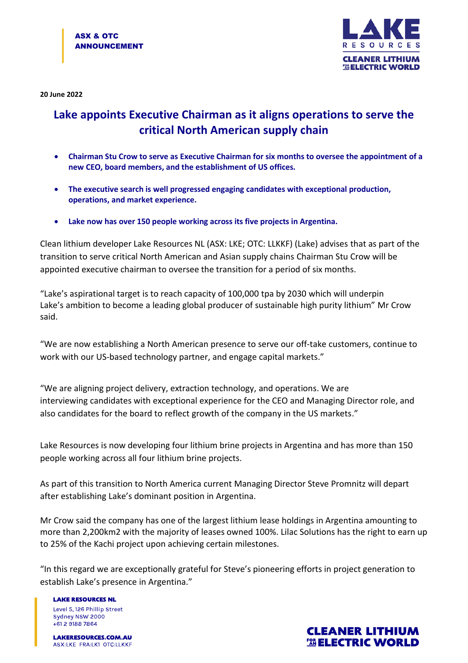

**20 June 2022**

## **Lake appoints Executive Chairman as it aligns operations to serve the critical North American supply chain**

- **Chairman Stu Crow to serve as Executive Chairman for six months to oversee the appointment of a new CEO, board members, and the establishment of US offices.**
- **The executive search is well progressed engaging candidates with exceptional production, operations, and market experience.**
- **Lake now has over 150 people working across its five projects in Argentina.**

Clean lithium developer Lake Resources NL (ASX: LKE; OTC: LLKKF) (Lake) advises that as part of the transition to serve critical North American and Asian supply chains Chairman Stu Crow will be appointed executive chairman to oversee the transition for a period of six months.

"Lake's aspirational target is to reach capacity of 100,000 tpa by 2030 which will underpin Lake's ambition to become a leading global producer of sustainable high purity lithium" Mr Crow said.

"We are now establishing a North American presence to serve our off-take customers, continue to work with our US-based technology partner, and engage capital markets."

"We are aligning project delivery, extraction technology, and operations. We are interviewing candidates with exceptional experience for the CEO and Managing Director role, and also candidates for the board to reflect growth of the company in the US markets."

Lake Resources is now developing four lithium brine projects in Argentina and has more than 150 people working across all four lithium brine projects.

As part of this transition to North America current Managing Director Steve Promnitz will depart after establishing Lake's dominant position in Argentina.

Mr Crow said the company has one of the largest lithium lease holdings in Argentina amounting to more than 2,200km2 with the majority of leases owned 100%. Lilac Solutions has the right to earn up to 25% of the Kachi project upon achieving certain milestones.

"In this regard we are exceptionally grateful for Steve's pioneering efforts in project generation to establish Lake's presence in Argentina."

**LAKE RESOURCES NL** Level 5, 126 Phillip Street Sydney NSW 2000 +61 2 9188 7864

**LAKERESOURCES.COM.AU** ASX:LKE FRA:LK1 OTC:LLKKF

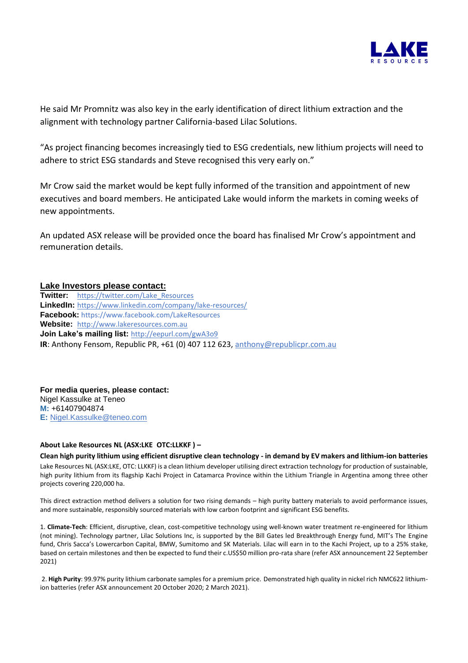

He said Mr Promnitz was also key in the early identification of direct lithium extraction and the alignment with technology partner California-based Lilac Solutions.

"As project financing becomes increasingly tied to ESG credentials, new lithium projects will need to adhere to strict ESG standards and Steve recognised this very early on."

Mr Crow said the market would be kept fully informed of the transition and appointment of new executives and board members. He anticipated Lake would inform the markets in coming weeks of new appointments.

An updated ASX release will be provided once the board has finalised Mr Crow's appointment and remuneration details.

## **Lake Investors please contact:**

**Twitter:** [https://twitter.com/Lake\\_Resources](https://twitter.com/Lake_Resources) **LinkedIn:** <https://www.linkedin.com/company/lake-resources/> **Facebook:** https://www.facebook.com/LakeResources **Website:** [http://www.lakeresources.com.au](http://www.lakeresources.com.au/) **Join Lake's mailing list:** <http://eepurl.com/gwA3o9> **IR**: Anthony Fensom, Republic PR, +61 (0) 407 112 623, [anthony@republicpr.com.au](mailto:anthony@republicpr.com.au)

**For media queries, please contact:** Nigel Kassulke at Teneo **M:** +61407904874 **E:** [Nigel.Kassulke@teneo.com](mailto:Nigel.Kassulke@teneo.com)

## **About Lake Resources NL (ASX:LKE OTC:LLKKF ) –**

**Clean high purity lithium using efficient disruptive clean technology - in demand by EV makers and lithium-ion batteries** Lake Resources NL (ASX:LKE, OTC: LLKKF) is a clean lithium developer utilising direct extraction technology for production of sustainable, high purity lithium from its flagship Kachi Project in Catamarca Province within the Lithium Triangle in Argentina among three other projects covering 220,000 ha.

This direct extraction method delivers a solution for two rising demands – high purity battery materials to avoid performance issues, and more sustainable, responsibly sourced materials with low carbon footprint and significant ESG benefits.

1. **Climate-Tech**: Efficient, disruptive, clean, cost-competitive technology using well-known water treatment re-engineered for lithium (not mining). Technology partner, Lilac Solutions Inc, is supported by the Bill Gates led Breakthrough Energy fund, MIT's The Engine fund, Chris Sacca's Lowercarbon Capital, BMW, Sumitomo and SK Materials. Lilac will earn in to the Kachi Project, up to a 25% stake, based on certain milestones and then be expected to fund their c.US\$50 million pro-rata share (refer ASX announcement 22 September 2021)

2. **High Purity**: 99.97% purity lithium carbonate samples for a premium price. Demonstrated high quality in nickel rich NMC622 lithiumion batteries (refer ASX announcement 20 October 2020; 2 March 2021).